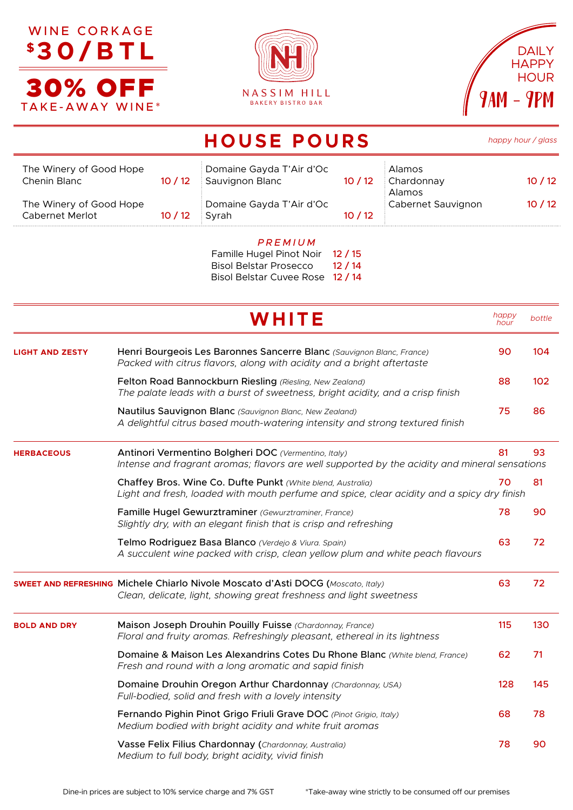





|                                                                                                                                                                           |       | <b>HOUSE POURS</b>                                                 |       |                                | happy hour / glass |        |
|---------------------------------------------------------------------------------------------------------------------------------------------------------------------------|-------|--------------------------------------------------------------------|-------|--------------------------------|--------------------|--------|
| The Winery of Good Hope<br>Chenin Blanc                                                                                                                                   | 10/12 | Domaine Gayda T'Air d'Oc<br>Sauvignon Blanc                        | 10/12 | Alamos<br>Chardonnay<br>Alamos |                    | 10/12  |
| The Winery of Good Hope<br>Cabernet Merlot                                                                                                                                | 10/12 | Domaine Gayda T'Air d'Oc<br>Syrah                                  | 10/12 | Cabernet Sauvignon             |                    | 10/12  |
|                                                                                                                                                                           |       | PREMIUM<br>Famille Hugel Pinot Noir 12 / 15                        |       |                                |                    |        |
|                                                                                                                                                                           |       | Bisol Belstar Prosecco 12 / 14<br>Bisol Belstar Cuvee Rose 12 / 14 |       |                                |                    |        |
|                                                                                                                                                                           |       | WHITE                                                              |       |                                | happy<br>hour      | bottle |
| Henri Bourgeois Les Baronnes Sancerre Blanc (Sauvignon Blanc, France)<br><b>LIGHT AND ZESTY</b><br>Packed with citrus flavors, along with acidity and a bright aftertaste |       |                                                                    |       |                                | 90                 | 104    |
|                                                                                                                                                                           |       |                                                                    |       |                                |                    |        |

|                     | Felton Road Bannockburn Riesling (Riesling, New Zealand)<br>The palate leads with a burst of sweetness, bright acidity, and a crisp finish                      | 88 | 102 |
|---------------------|-----------------------------------------------------------------------------------------------------------------------------------------------------------------|----|-----|
|                     | Nautilus Sauvignon Blanc (Sauvignon Blanc, New Zealand)<br>A delightful citrus based mouth-watering intensity and strong textured finish                        | 75 | 86  |
| <b>HERBACEOUS</b>   | Antinori Vermentino Bolgheri DOC (Vermentino, Italy)<br>Intense and fragrant aromas; flavors are well supported by the acidity and mineral sensations           | 81 | 93  |
|                     | Chaffey Bros. Wine Co. Dufte Punkt (White blend, Australia)<br>70<br>Light and fresh, loaded with mouth perfume and spice, clear acidity and a spicy dry finish |    |     |
|                     | Famille Hugel Gewurztraminer (Gewurztraminer, France)<br>Slightly dry, with an elegant finish that is crisp and refreshing                                      | 78 | 90  |
|                     | Telmo Rodriguez Basa Blanco (Verdejo & Viura. Spain)<br>A succulent wine packed with crisp, clean yellow plum and white peach flavours                          |    | 72  |
|                     | <b>SWEET AND REFRESHING Michele Chiarlo Nivole Moscato d'Asti DOCG (Moscato, Italy)</b><br>Clean, delicate, light, showing great freshness and light sweetness  | 63 | 72  |
| <b>BOLD AND DRY</b> | Maison Joseph Drouhin Pouilly Fuisse (Chardonnay, France)<br>Floral and fruity aromas. Refreshingly pleasant, ethereal in its lightness                         |    | 130 |
|                     | Domaine & Maison Les Alexandrins Cotes Du Rhone Blanc (White blend, France)<br>Fresh and round with a long aromatic and sapid finish                            |    | 71  |
|                     | Domaine Drouhin Oregon Arthur Chardonnay (Chardonnay, USA)<br>Full-bodied, solid and fresh with a lovely intensity                                              |    | 145 |
|                     | Fernando Pighin Pinot Grigo Friuli Grave DOC (Pinot Grigio, Italy)<br>Medium bodied with bright acidity and white fruit aromas                                  |    | 78  |
|                     | Vasse Felix Filius Chardonnay (Chardonnay, Australia)<br>Medium to full body, bright acidity, vivid finish                                                      | 78 | 90  |